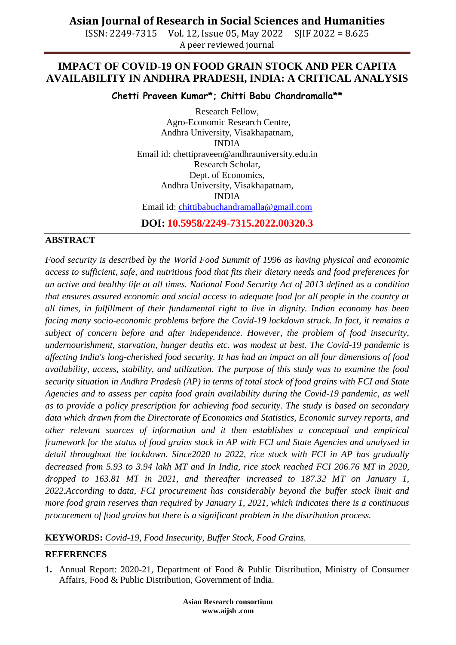ISSN: 2249-7315 Vol. 12, Issue 05, May 2022 SJIF 2022 = 8.625 A peer reviewed journal

# **IMPACT OF COVID-19 ON FOOD GRAIN STOCK AND PER CAPITA AVAILABILITY IN ANDHRA PRADESH, INDIA: A CRITICAL ANALYSIS**

**Chetti Praveen Kumar\*; Chitti Babu Chandramalla\*\***

Research Fellow, Agro-Economic Research Centre, Andhra University, Visakhapatnam, INDIA Email id: [chettipraveen@andhrauniversity.edu.in](mailto:chettipraveen@andhrauniversity.edu.in) Research Scholar, Dept. of Economics, Andhra University, Visakhapatnam, INDIA Email id: [chittibabuchandramalla@gmail.com](mailto:chittibabuchandramalla@gmail.com)

**DOI: 10.5958/2249-7315.2022.00320.3**

### **ABSTRACT**

*Food security is described by the World Food Summit of 1996 as having physical and economic access to sufficient, safe, and nutritious food that fits their dietary needs and food preferences for an active and healthy life at all times. National Food Security Act of 2013 defined as a condition that ensures assured economic and social access to adequate food for all people in the country at all times, in fulfillment of their fundamental right to live in dignity. Indian economy has been facing many socio-economic problems before the Covid-19 lockdown struck. In fact, it remains a subject of concern before and after independence. However, the problem of food insecurity, undernourishment, starvation, hunger deaths etc. was modest at best. The Covid-19 pandemic is affecting India's long-cherished food security. It has had an impact on all four dimensions of food availability, access, stability, and utilization. The purpose of this study was to examine the food security situation in Andhra Pradesh (AP) in terms of total stock of food grains with FCI and State Agencies and to assess per capita food grain availability during the Covid-19 pandemic, as well as to provide a policy prescription for achieving food security. The study is based on secondary data which drawn from the Directorate of Economics and Statistics, Economic survey reports, and other relevant sources of information and it then establishes a conceptual and empirical framework for the status of food grains stock in AP with FCI and State Agencies and analysed in detail throughout the lockdown. Since2020 to 2022, rice stock with FCI in AP has gradually decreased from 5.93 to 3.94 lakh MT and In India, rice stock reached FCI 206.76 MT in 2020, dropped to 163.81 MT in 2021, and thereafter increased to 187.32 MT on January 1, 2022.According to data, FCI procurement has considerably beyond the buffer stock limit and more food grain reserves than required by January 1, 2021, which indicates there is a continuous procurement of food grains but there is a significant problem in the distribution process.* 

### **KEYWORDS:** *Covid-19, Food Insecurity, Buffer Stock, Food Grains.*

#### **REFERENCES**

**1.** Annual Report: 2020-21, Department of Food & Public Distribution, Ministry of Consumer Affairs, Food & Public Distribution, Government of India.